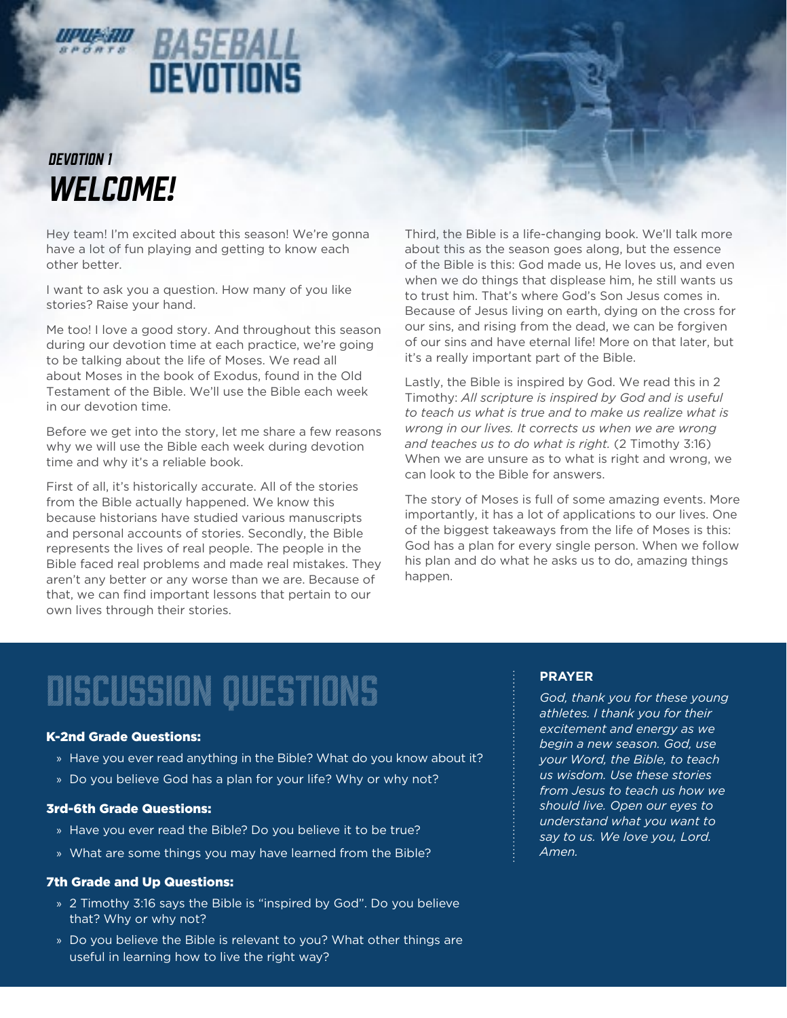

# **BASEBALL**<br>DEVOTIONS

### *WELCOME! DEVOTION 1*

Hey team! I'm excited about this season! We're gonna have a lot of fun playing and getting to know each other better.

I want to ask you a question. How many of you like stories? Raise your hand.

Me too! I love a good story. And throughout this season during our devotion time at each practice, we're going to be talking about the life of Moses. We read all about Moses in the book of Exodus, found in the Old Testament of the Bible. We'll use the Bible each week in our devotion time.

Before we get into the story, let me share a few reasons why we will use the Bible each week during devotion time and why it's a reliable book.

First of all, it's historically accurate. All of the stories from the Bible actually happened. We know this because historians have studied various manuscripts and personal accounts of stories. Secondly, the Bible represents the lives of real people. The people in the Bible faced real problems and made real mistakes. They aren't any better or any worse than we are. Because of that, we can find important lessons that pertain to our own lives through their stories.

Third, the Bible is a life-changing book. We'll talk more about this as the season goes along, but the essence of the Bible is this: God made us, He loves us, and even when we do things that displease him, he still wants us to trust him. That's where God's Son Jesus comes in. Because of Jesus living on earth, dying on the cross for our sins, and rising from the dead, we can be forgiven of our sins and have eternal life! More on that later, but it's a really important part of the Bible.

Lastly, the Bible is inspired by God. We read this in 2 Timothy: *All scripture is inspired by God and is useful to teach us what is true and to make us realize what is wrong in our lives. It corrects us when we are wrong and teaches us to do what is right.* (2 Timothy 3:16) When we are unsure as to what is right and wrong, we can look to the Bible for answers.

The story of Moses is full of some amazing events. More importantly, it has a lot of applications to our lives. One of the biggest takeaways from the life of Moses is this: God has a plan for every single person. When we follow his plan and do what he asks us to do, amazing things happen.

## discussion questions

#### K-2nd Grade Questions:

- » Have you ever read anything in the Bible? What do you know about it?
- » Do you believe God has a plan for your life? Why or why not?

### 3rd-6th Grade Questions:

- » Have you ever read the Bible? Do you believe it to be true?
- » What are some things you may have learned from the Bible?

#### 7th Grade and Up Questions:

- » 2 Timothy 3:16 says the Bible is "inspired by God". Do you believe that? Why or why not?
- » Do you believe the Bible is relevant to you? What other things are useful in learning how to live the right way?

### **PRAYER**

*God, thank you for these young athletes. I thank you for their excitement and energy as we begin a new season. God, use your Word, the Bible, to teach us wisdom. Use these stories from Jesus to teach us how we should live. Open our eyes to understand what you want to say to us. We love you, Lord. Amen.*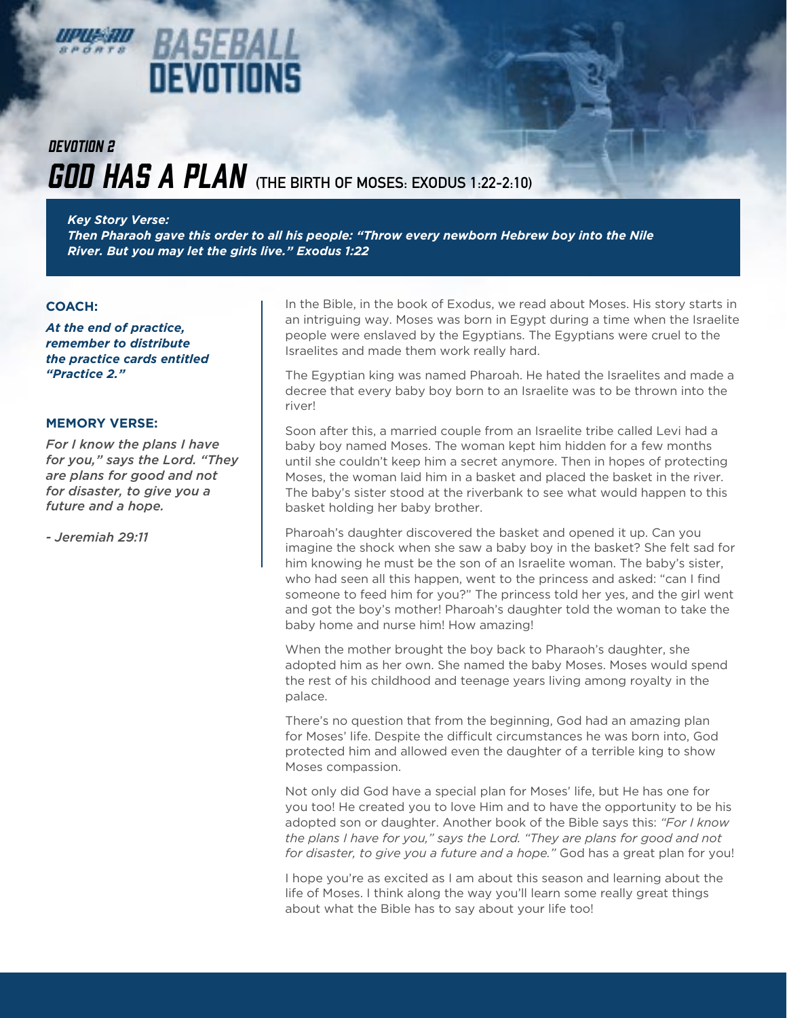

## BASEBA oevotions

### **GOD HAS A PLAN** (THE BIRTH OF MOSES: EXODUS 1:22-2:10) *DEVOTION 2*

*Key Story Verse:* 

*Then Pharaoh gave this order to all his people: "Throw every newborn Hebrew boy into the Nile River. But you may let the girls live." Exodus 1:22*

### **COACH:**

*At the end of practice, remember to distribute the practice cards entitled "Practice 2."*

### **MEMORY VERSE:**

*For I know the plans I have for you," says the Lord. "They are plans for good and not for disaster, to give you a future and a hope.* 

*- Jeremiah 29:11*

In the Bible, in the book of Exodus, we read about Moses. His story starts in an intriguing way. Moses was born in Egypt during a time when the Israelite people were enslaved by the Egyptians. The Egyptians were cruel to the Israelites and made them work really hard.

The Egyptian king was named Pharoah. He hated the Israelites and made a decree that every baby boy born to an Israelite was to be thrown into the river!

Soon after this, a married couple from an Israelite tribe called Levi had a baby boy named Moses. The woman kept him hidden for a few months until she couldn't keep him a secret anymore. Then in hopes of protecting Moses, the woman laid him in a basket and placed the basket in the river. The baby's sister stood at the riverbank to see what would happen to this basket holding her baby brother.

Pharoah's daughter discovered the basket and opened it up. Can you imagine the shock when she saw a baby boy in the basket? She felt sad for him knowing he must be the son of an Israelite woman. The baby's sister, who had seen all this happen, went to the princess and asked: "can I find someone to feed him for you?" The princess told her yes, and the girl went and got the boy's mother! Pharoah's daughter told the woman to take the baby home and nurse him! How amazing!

When the mother brought the boy back to Pharaoh's daughter, she adopted him as her own. She named the baby Moses. Moses would spend the rest of his childhood and teenage years living among royalty in the palace.

There's no question that from the beginning, God had an amazing plan for Moses' life. Despite the difficult circumstances he was born into, God protected him and allowed even the daughter of a terrible king to show Moses compassion.

Not only did God have a special plan for Moses' life, but He has one for you too! He created you to love Him and to have the opportunity to be his adopted son or daughter. Another book of the Bible says this: *"For I know the plans I have for you," says the Lord. "They are plans for good and not for disaster, to give you a future and a hope."* God has a great plan for you!

I hope you're as excited as I am about this season and learning about the life of Moses. I think along the way you'll learn some really great things about what the Bible has to say about your life too!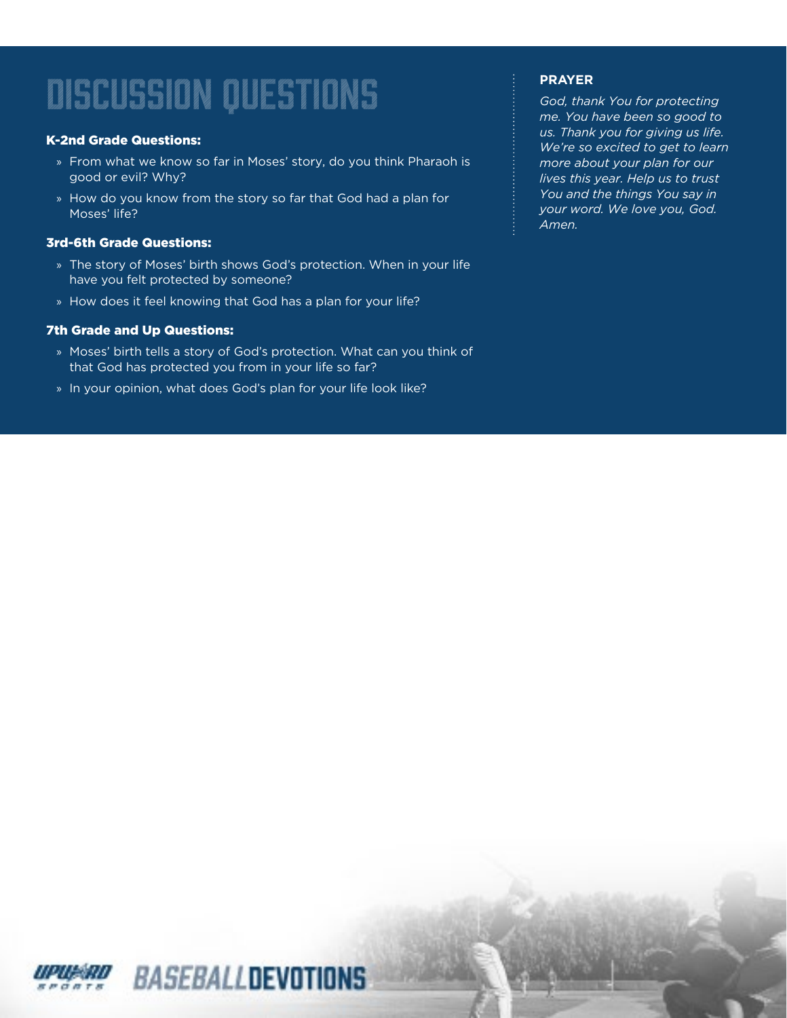### K-2nd Grade Questions:

- » From what we know so far in Moses' story, do you think Pharaoh is good or evil? Why?
- » How do you know from the story so far that God had a plan for Moses' life?

### 3rd-6th Grade Questions:

- » The story of Moses' birth shows God's protection. When in your life have you felt protected by someone?
- » How does it feel knowing that God has a plan for your life?

### 7th Grade and Up Questions:

- » Moses' birth tells a story of God's protection. What can you think of that God has protected you from in your life so far?
- » In your opinion, what does God's plan for your life look like?

### **PRAYER**

*God, thank You for protecting me. You have been so good to us. Thank you for giving us life. We're so excited to get to learn more about your plan for our lives this year. Help us to trust You and the things You say in your word. We love you, God. Amen.*

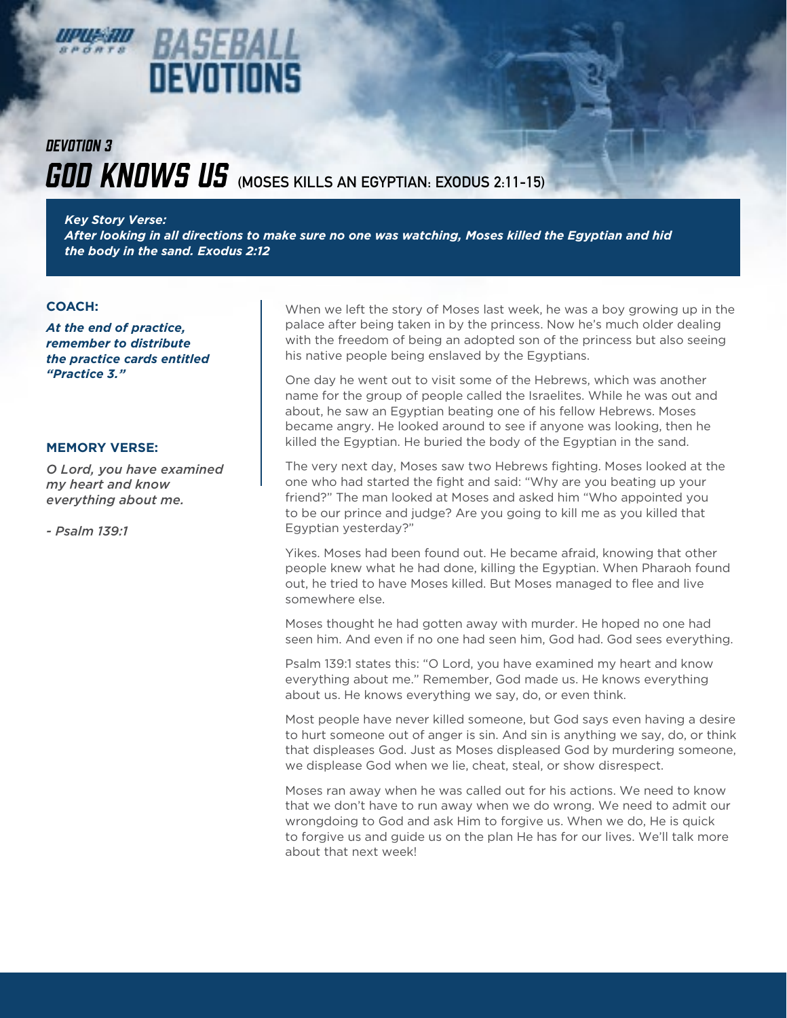

### **GOD KNOWS US** (MOSES KILLS AN EGYPTIAN: EXODUS 2:11-15) *DEVOTION 3*

*Key Story Verse:* 

*After looking in all directions to make sure no one was watching, Moses killed the Egyptian and hid the body in the sand. Exodus 2:12*

#### **COACH:**

*At the end of practice, remember to distribute the practice cards entitled "Practice 3."*

#### **MEMORY VERSE:**

*O Lord, you have examined my heart and know everything about me.* 

*- Psalm 139:1*

When we left the story of Moses last week, he was a boy growing up in the palace after being taken in by the princess. Now he's much older dealing with the freedom of being an adopted son of the princess but also seeing his native people being enslaved by the Egyptians.

One day he went out to visit some of the Hebrews, which was another name for the group of people called the Israelites. While he was out and about, he saw an Egyptian beating one of his fellow Hebrews. Moses became angry. He looked around to see if anyone was looking, then he killed the Egyptian. He buried the body of the Egyptian in the sand.

The very next day, Moses saw two Hebrews fighting. Moses looked at the one who had started the fight and said: "Why are you beating up your friend?" The man looked at Moses and asked him "Who appointed you to be our prince and judge? Are you going to kill me as you killed that Egyptian yesterday?"

Yikes. Moses had been found out. He became afraid, knowing that other people knew what he had done, killing the Egyptian. When Pharaoh found out, he tried to have Moses killed. But Moses managed to flee and live somewhere else.

Moses thought he had gotten away with murder. He hoped no one had seen him. And even if no one had seen him, God had. God sees everything.

Psalm 139:1 states this: "O Lord, you have examined my heart and know everything about me." Remember, God made us. He knows everything about us. He knows everything we say, do, or even think.

Most people have never killed someone, but God says even having a desire to hurt someone out of anger is sin. And sin is anything we say, do, or think that displeases God. Just as Moses displeased God by murdering someone, we displease God when we lie, cheat, steal, or show disrespect.

Moses ran away when he was called out for his actions. We need to know that we don't have to run away when we do wrong. We need to admit our wrongdoing to God and ask Him to forgive us. When we do, He is quick to forgive us and guide us on the plan He has for our lives. We'll talk more about that next week!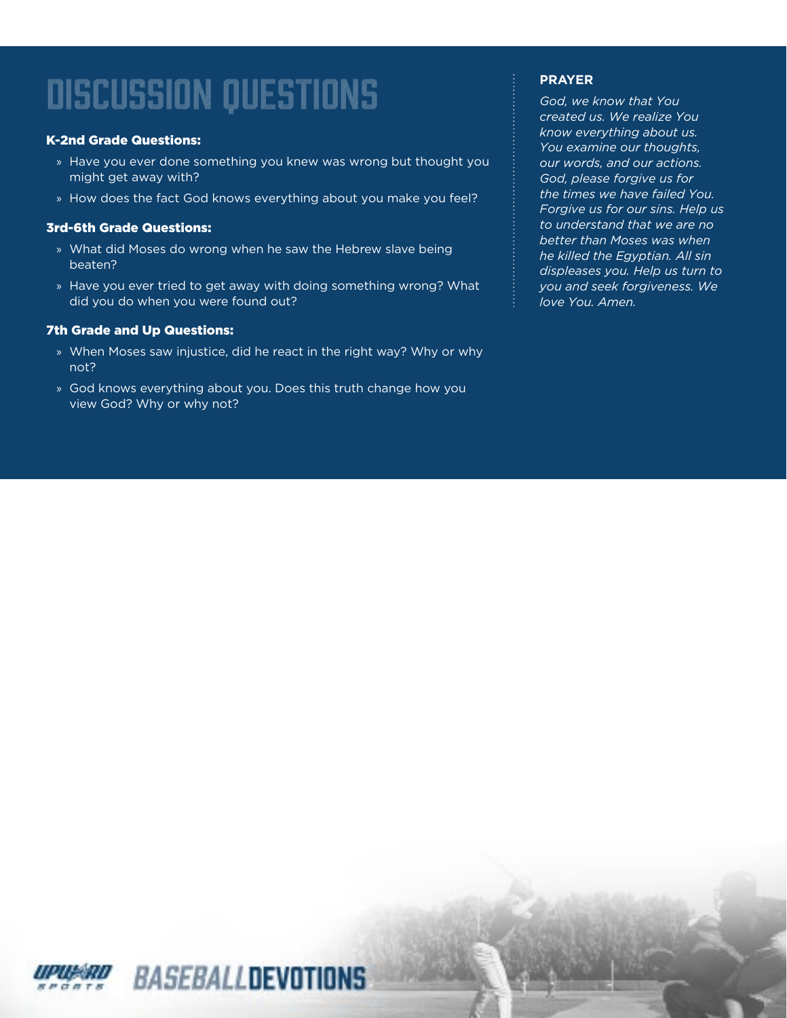### K-2nd Grade Questions:

- » Have you ever done something you knew was wrong but thought you might get away with?
- » How does the fact God knows everything about you make you feel?

### 3rd-6th Grade Questions:

- » What did Moses do wrong when he saw the Hebrew slave being beaten?
- » Have you ever tried to get away with doing something wrong? What did you do when you were found out?

#### 7th Grade and Up Questions:

- » When Moses saw injustice, did he react in the right way? Why or why not?
- » God knows everything about you. Does this truth change how you view God? Why or why not?

### **PRAYER**

*God, we know that You created us. We realize You know everything about us. You examine our thoughts, our words, and our actions. God, please forgive us for the times we have failed You. Forgive us for our sins. Help us to understand that we are no better than Moses was when he killed the Egyptian. All sin displeases you. Help us turn to you and seek forgiveness. We love You. Amen.*

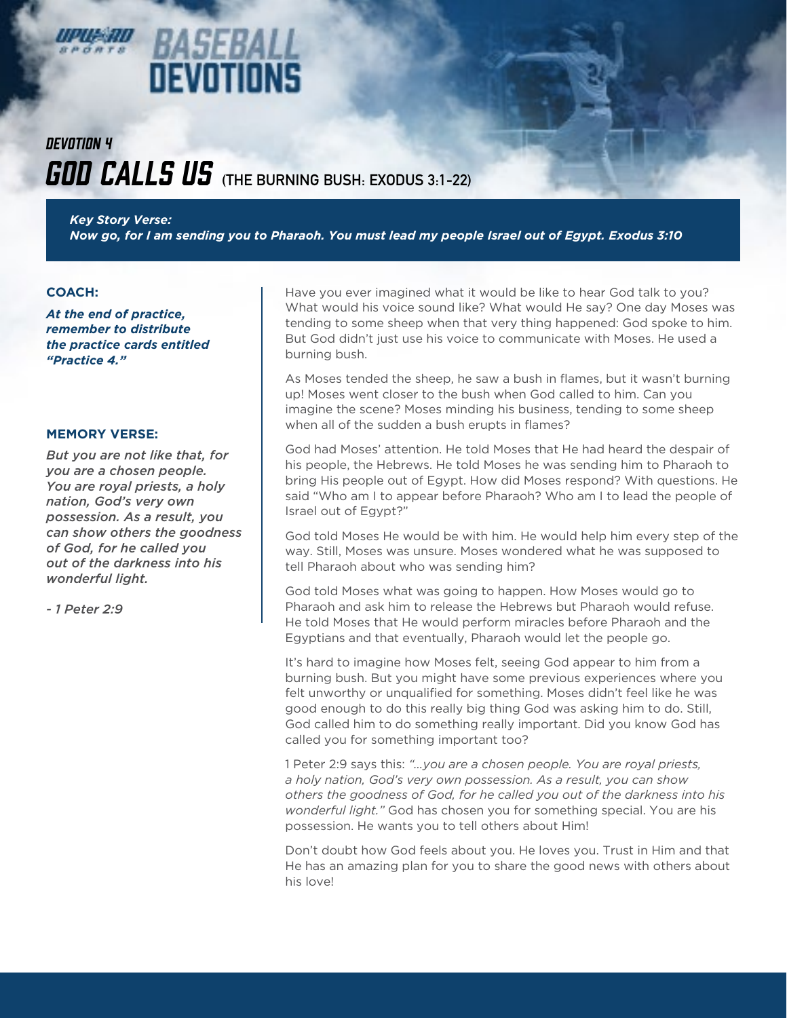

### BASEBA DEVOTIONS

### *GOD CALLS US* (THE BURNING BUSH: EXODUS 3:1-22) *DEVOTION 4*

*Key Story Verse: Now go, for I am sending you to Pharaoh. You must lead my people Israel out of Egypt. Exodus 3:10*

### **COACH:**

*At the end of practice, remember to distribute the practice cards entitled "Practice 4."*

### **MEMORY VERSE:**

*But you are not like that, for you are a chosen people. You are royal priests, a holy nation, God's very own possession. As a result, you can show others the goodness of God, for he called you out of the darkness into his wonderful light.* 

*- 1 Peter 2:9*

Have you ever imagined what it would be like to hear God talk to you? What would his voice sound like? What would He say? One day Moses was tending to some sheep when that very thing happened: God spoke to him. But God didn't just use his voice to communicate with Moses. He used a burning bush.

As Moses tended the sheep, he saw a bush in flames, but it wasn't burning up! Moses went closer to the bush when God called to him. Can you imagine the scene? Moses minding his business, tending to some sheep when all of the sudden a bush erupts in flames?

God had Moses' attention. He told Moses that He had heard the despair of his people, the Hebrews. He told Moses he was sending him to Pharaoh to bring His people out of Egypt. How did Moses respond? With questions. He said "Who am I to appear before Pharaoh? Who am I to lead the people of Israel out of Egypt?"

God told Moses He would be with him. He would help him every step of the way. Still, Moses was unsure. Moses wondered what he was supposed to tell Pharaoh about who was sending him?

God told Moses what was going to happen. How Moses would go to Pharaoh and ask him to release the Hebrews but Pharaoh would refuse. He told Moses that He would perform miracles before Pharaoh and the Egyptians and that eventually, Pharaoh would let the people go.

It's hard to imagine how Moses felt, seeing God appear to him from a burning bush. But you might have some previous experiences where you felt unworthy or unqualified for something. Moses didn't feel like he was good enough to do this really big thing God was asking him to do. Still, God called him to do something really important. Did you know God has called you for something important too?

1 Peter 2:9 says this: *"…you are a chosen people. You are royal priests, a holy nation, God's very own possession. As a result, you can show others the goodness of God, for he called you out of the darkness into his wonderful light."* God has chosen you for something special. You are his possession. He wants you to tell others about Him!

Don't doubt how God feels about you. He loves you. Trust in Him and that He has an amazing plan for you to share the good news with others about his love!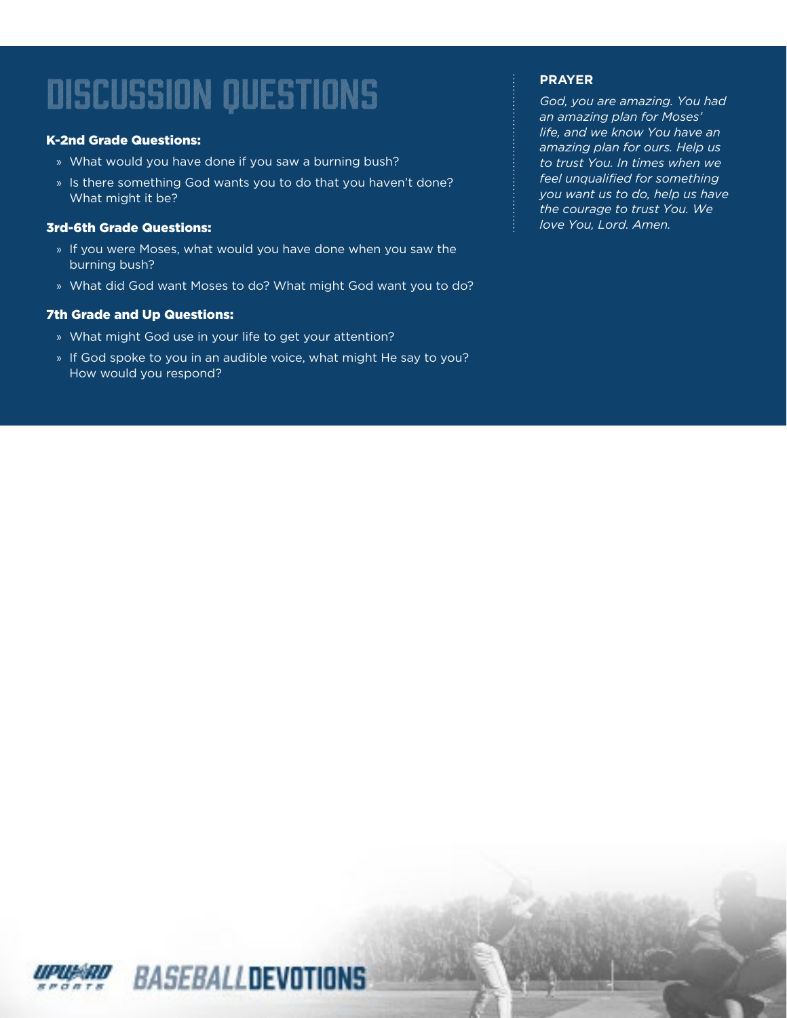### K-2nd Grade Questions:

- » What would you have done if you saw a burning bush?
- » Is there something God wants you to do that you haven't done? What might it be?

### 3rd-6th Grade Questions:

- » If you were Moses, what would you have done when you saw the burning bush?
- » What did God want Moses to do? What might God want you to do?

### 7th Grade and Up Questions:

- » What might God use in your life to get your attention?
- » If God spoke to you in an audible voice, what might He say to you? How would you respond?

### **PRAYER**

*God, you are amazing. You had an amazing plan for Moses' life, and we know You have an amazing plan for ours. Help us to trust You. In times when we feel unqualified for something you want us to do, help us have the courage to trust You. We love You, Lord. Amen.*

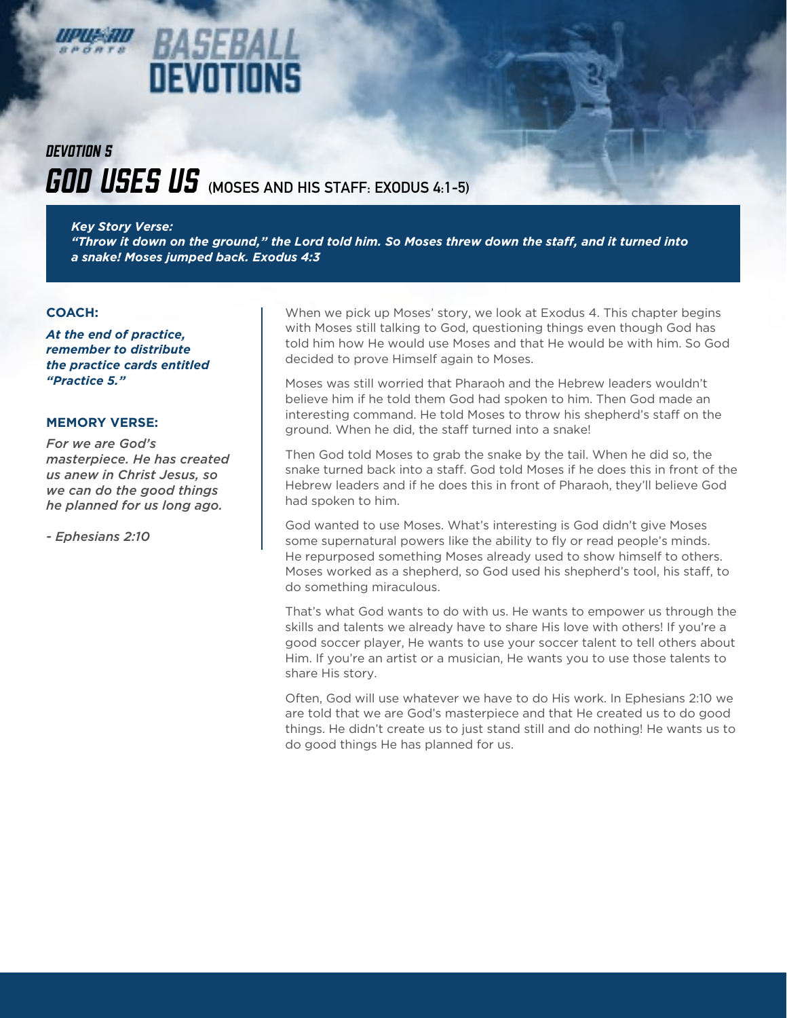

### BASE 14 DEVOTIONS

### *GOD USES US* (MOSES AND HIS STAFF: EXODUS 4:1-5) *DEVOTION 5*

*Key Story Verse:* 

*"Throw it down on the ground," the Lord told him. So Moses threw down the staff, and it turned into a snake! Moses jumped back. Exodus 4:3*

### **COACH:**

*At the end of practice, remember to distribute the practice cards entitled "Practice 5."*

### **MEMORY VERSE:**

*For we are God's masterpiece. He has created us anew in Christ Jesus, so we can do the good things he planned for us long ago.* 

*- Ephesians 2:10*

When we pick up Moses' story, we look at Exodus 4. This chapter begins with Moses still talking to God, questioning things even though God has told him how He would use Moses and that He would be with him. So God decided to prove Himself again to Moses.

Moses was still worried that Pharaoh and the Hebrew leaders wouldn't believe him if he told them God had spoken to him. Then God made an interesting command. He told Moses to throw his shepherd's staff on the ground. When he did, the staff turned into a snake!

Then God told Moses to grab the snake by the tail. When he did so, the snake turned back into a staff. God told Moses if he does this in front of the Hebrew leaders and if he does this in front of Pharaoh, they'll believe God had spoken to him.

God wanted to use Moses. What's interesting is God didn't give Moses some supernatural powers like the ability to fly or read people's minds. He repurposed something Moses already used to show himself to others. Moses worked as a shepherd, so God used his shepherd's tool, his staff, to do something miraculous.

That's what God wants to do with us. He wants to empower us through the skills and talents we already have to share His love with others! If you're a good soccer player, He wants to use your soccer talent to tell others about Him. If you're an artist or a musician, He wants you to use those talents to share His story.

Often, God will use whatever we have to do His work. In Ephesians 2:10 we are told that we are God's masterpiece and that He created us to do good things. He didn't create us to just stand still and do nothing! He wants us to do good things He has planned for us.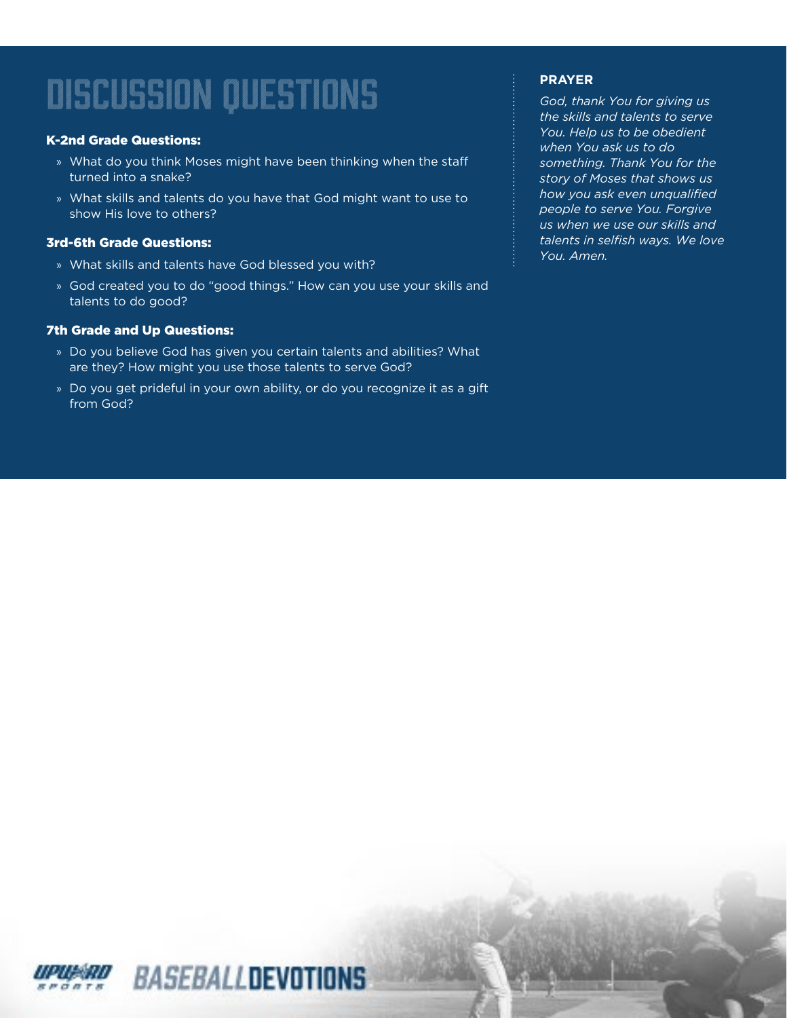### K-2nd Grade Questions:

- » What do you think Moses might have been thinking when the staff turned into a snake?
- » What skills and talents do you have that God might want to use to show His love to others?

### 3rd-6th Grade Questions:

- » What skills and talents have God blessed you with?
- » God created you to do "good things." How can you use your skills and talents to do good?

### 7th Grade and Up Questions:

- » Do you believe God has given you certain talents and abilities? What are they? How might you use those talents to serve God?
- » Do you get prideful in your own ability, or do you recognize it as a gift from God?

### **PRAYER**

*God, thank You for giving us the skills and talents to serve You. Help us to be obedient when You ask us to do something. Thank You for the story of Moses that shows us how you ask even unqualified people to serve You. Forgive us when we use our skills and talents in selfish ways. We love You. Amen.*

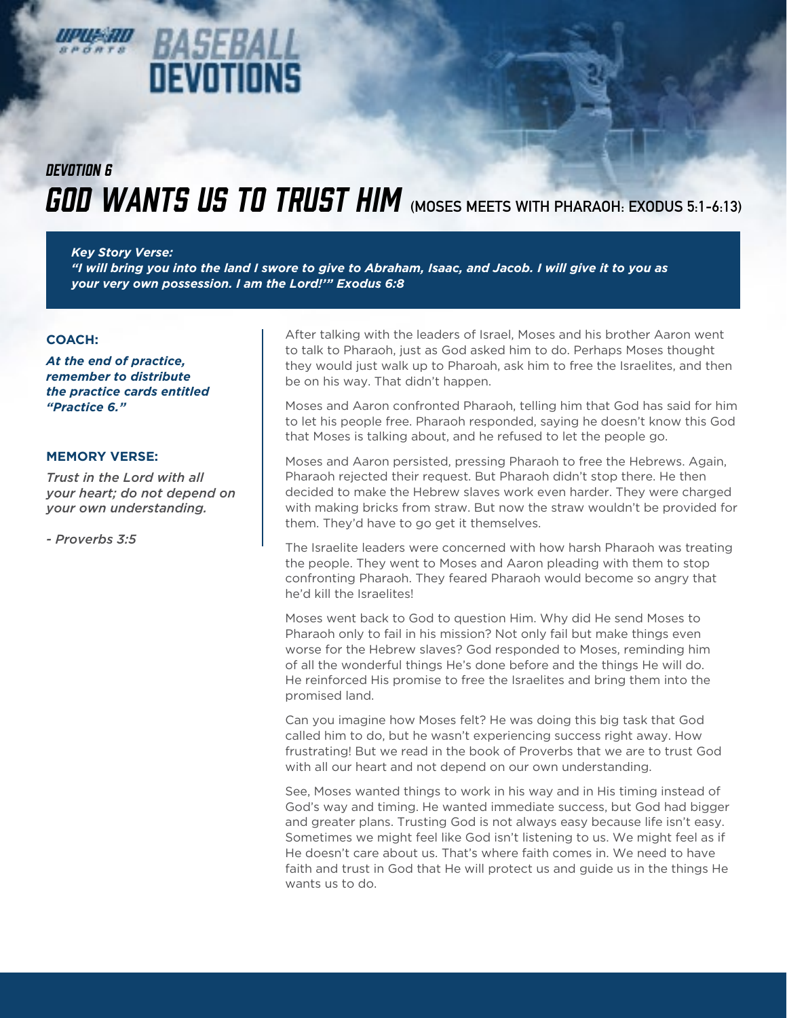# **EVOTIONS**

### **GOD WANTS US TO TRUST HIM** (MOSES MEETS WITH PHARAOH: EXODUS 5:1-6:13) *DEVOTION 6*

*Key Story Verse: "I will bring you into the land I swore to give to Abraham, Isaac, and Jacob. I will give it to you as your very own possession. I am the Lord!'" Exodus 6:8*

### **COACH:**

*At the end of practice, remember to distribute the practice cards entitled "Practice 6."*

### **MEMORY VERSE:**

*Trust in the Lord with all your heart; do not depend on your own understanding.* 

*- Proverbs 3:5*

After talking with the leaders of Israel, Moses and his brother Aaron went to talk to Pharaoh, just as God asked him to do. Perhaps Moses thought they would just walk up to Pharoah, ask him to free the Israelites, and then be on his way. That didn't happen.

Moses and Aaron confronted Pharaoh, telling him that God has said for him to let his people free. Pharaoh responded, saying he doesn't know this God that Moses is talking about, and he refused to let the people go.

Moses and Aaron persisted, pressing Pharaoh to free the Hebrews. Again, Pharaoh rejected their request. But Pharaoh didn't stop there. He then decided to make the Hebrew slaves work even harder. They were charged with making bricks from straw. But now the straw wouldn't be provided for them. They'd have to go get it themselves.

The Israelite leaders were concerned with how harsh Pharaoh was treating the people. They went to Moses and Aaron pleading with them to stop confronting Pharaoh. They feared Pharaoh would become so angry that he'd kill the Israelites!

Moses went back to God to question Him. Why did He send Moses to Pharaoh only to fail in his mission? Not only fail but make things even worse for the Hebrew slaves? God responded to Moses, reminding him of all the wonderful things He's done before and the things He will do. He reinforced His promise to free the Israelites and bring them into the promised land.

Can you imagine how Moses felt? He was doing this big task that God called him to do, but he wasn't experiencing success right away. How frustrating! But we read in the book of Proverbs that we are to trust God with all our heart and not depend on our own understanding.

See, Moses wanted things to work in his way and in His timing instead of God's way and timing. He wanted immediate success, but God had bigger and greater plans. Trusting God is not always easy because life isn't easy. Sometimes we might feel like God isn't listening to us. We might feel as if He doesn't care about us. That's where faith comes in. We need to have faith and trust in God that He will protect us and guide us in the things He wants us to do.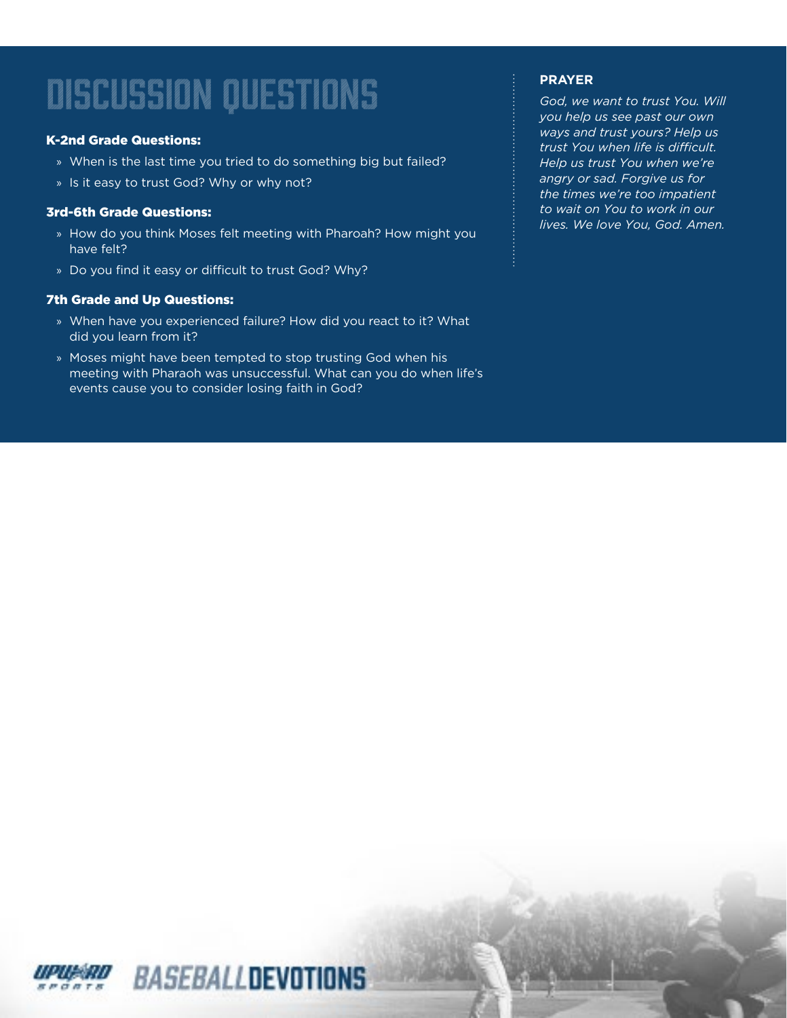### K-2nd Grade Questions:

- » When is the last time you tried to do something big but failed?
- » Is it easy to trust God? Why or why not?

### 3rd-6th Grade Questions:

- » How do you think Moses felt meeting with Pharoah? How might you have felt?
- » Do you find it easy or difficult to trust God? Why?

### 7th Grade and Up Questions:

- » When have you experienced failure? How did you react to it? What did you learn from it?
- » Moses might have been tempted to stop trusting God when his meeting with Pharaoh was unsuccessful. What can you do when life's events cause you to consider losing faith in God?

### **PRAYER**

*God, we want to trust You. Will you help us see past our own ways and trust yours? Help us trust You when life is difficult. Help us trust You when we're angry or sad. Forgive us for the times we're too impatient to wait on You to work in our lives. We love You, God. Amen.*

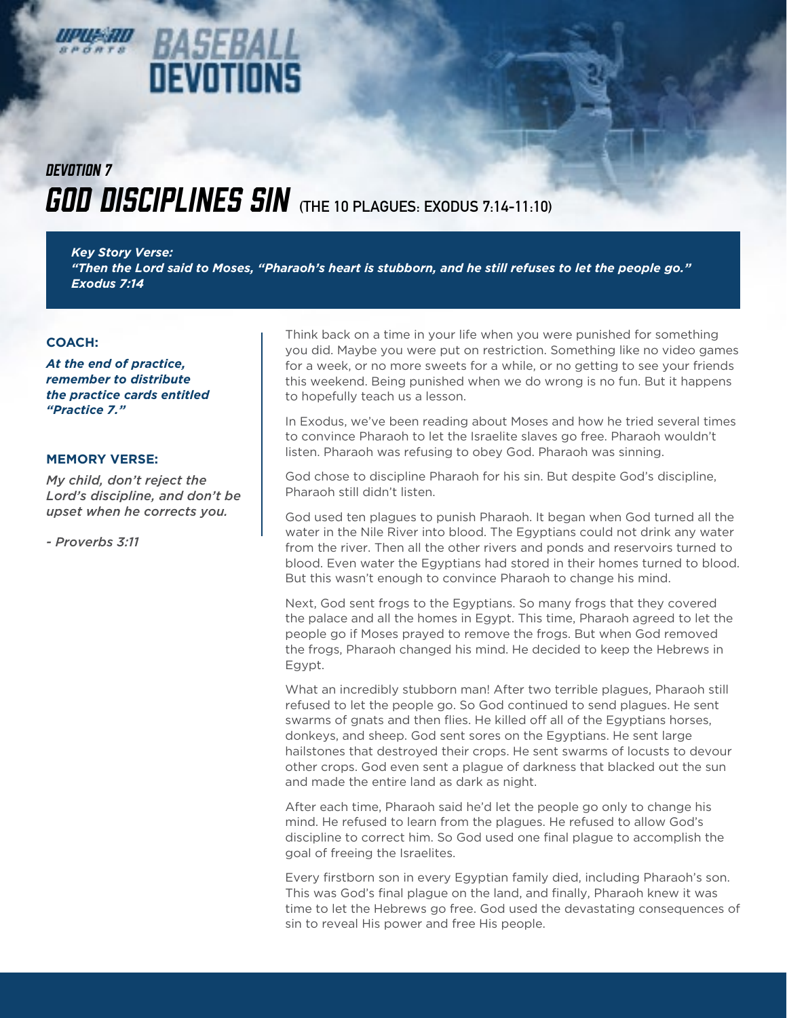### **GOD DISCIPLINES SIN** (THE 10 PLAGUES: EXODUS 7:14-11:10) *DEVOTION 7*

*BASEBA* 

**DEVOTIONS** 

*Key Story Verse: "Then the Lord said to Moses, "Pharaoh's heart is stubborn, and he still refuses to let the people go." Exodus 7:14*

### **COACH:**

*At the end of practice, remember to distribute the practice cards entitled "Practice 7."*

### **MEMORY VERSE:**

*My child, don't reject the Lord's discipline, and don't be upset when he corrects you.* 

*- Proverbs 3:11*

Think back on a time in your life when you were punished for something you did. Maybe you were put on restriction. Something like no video games for a week, or no more sweets for a while, or no getting to see your friends this weekend. Being punished when we do wrong is no fun. But it happens to hopefully teach us a lesson.

In Exodus, we've been reading about Moses and how he tried several times to convince Pharaoh to let the Israelite slaves go free. Pharaoh wouldn't listen. Pharaoh was refusing to obey God. Pharaoh was sinning.

God chose to discipline Pharaoh for his sin. But despite God's discipline, Pharaoh still didn't listen.

God used ten plagues to punish Pharaoh. It began when God turned all the water in the Nile River into blood. The Egyptians could not drink any water from the river. Then all the other rivers and ponds and reservoirs turned to blood. Even water the Egyptians had stored in their homes turned to blood. But this wasn't enough to convince Pharaoh to change his mind.

Next, God sent frogs to the Egyptians. So many frogs that they covered the palace and all the homes in Egypt. This time, Pharaoh agreed to let the people go if Moses prayed to remove the frogs. But when God removed the frogs, Pharaoh changed his mind. He decided to keep the Hebrews in Egypt.

What an incredibly stubborn man! After two terrible plagues, Pharaoh still refused to let the people go. So God continued to send plagues. He sent swarms of gnats and then flies. He killed off all of the Egyptians horses, donkeys, and sheep. God sent sores on the Egyptians. He sent large hailstones that destroyed their crops. He sent swarms of locusts to devour other crops. God even sent a plague of darkness that blacked out the sun and made the entire land as dark as night.

After each time, Pharaoh said he'd let the people go only to change his mind. He refused to learn from the plagues. He refused to allow God's discipline to correct him. So God used one final plague to accomplish the goal of freeing the Israelites.

Every firstborn son in every Egyptian family died, including Pharaoh's son. This was God's final plague on the land, and finally, Pharaoh knew it was time to let the Hebrews go free. God used the devastating consequences of sin to reveal His power and free His people.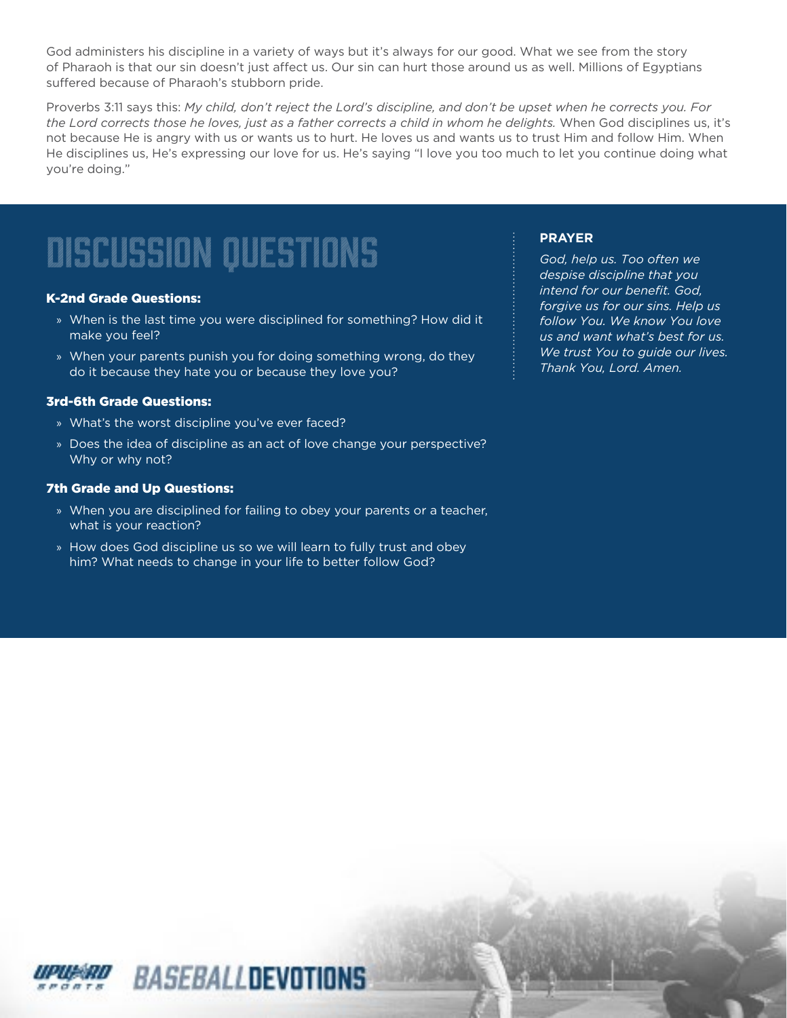God administers his discipline in a variety of ways but it's always for our good. What we see from the story of Pharaoh is that our sin doesn't just affect us. Our sin can hurt those around us as well. Millions of Egyptians suffered because of Pharaoh's stubborn pride.

Proverbs 3:11 says this: *My child, don't reject the Lord's discipline, and don't be upset when he corrects you. For the Lord corrects those he loves, just as a father corrects a child in whom he delights.* When God disciplines us, it's not because He is angry with us or wants us to hurt. He loves us and wants us to trust Him and follow Him. When He disciplines us, He's expressing our love for us. He's saying "I love you too much to let you continue doing what you're doing."

# discussion questions

### K-2nd Grade Questions:

- » When is the last time you were disciplined for something? How did it make you feel?
- » When your parents punish you for doing something wrong, do they do it because they hate you or because they love you?

### 3rd-6th Grade Questions:

- » What's the worst discipline you've ever faced?
- » Does the idea of discipline as an act of love change your perspective? Why or why not?

#### 7th Grade and Up Questions:

- » When you are disciplined for failing to obey your parents or a teacher, what is your reaction?
- » How does God discipline us so we will learn to fully trust and obey him? What needs to change in your life to better follow God?

BASEBALLDEVOTIONS

### **PRAYER**

*God, help us. Too often we despise discipline that you intend for our benefit. God, forgive us for our sins. Help us follow You. We know You love us and want what's best for us. We trust You to guide our lives. Thank You, Lord. Amen.*

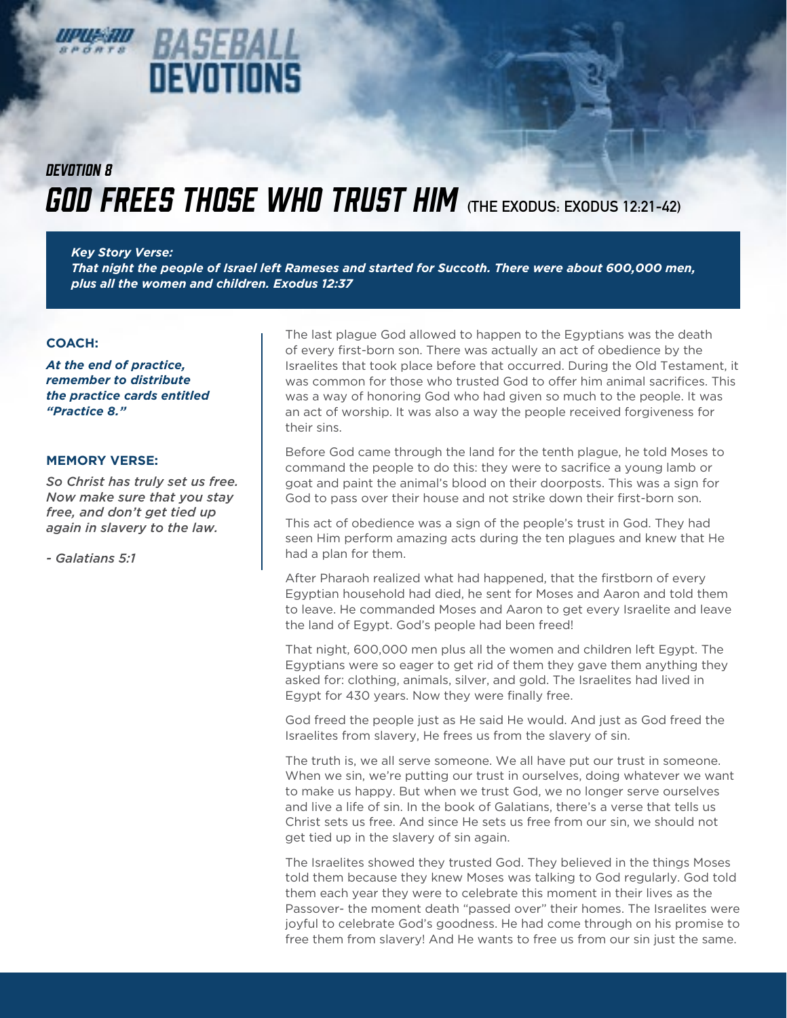### Mataia DEVOTIONS

### **GOD FREES THOSE WHO TRUST HIM** (THE EXODUS: EXODUS 12:21-42) *DEVOTION 8*

*Key Story Verse: That night the people of Israel left Rameses and started for Succoth. There were about 600,000 men, plus all the women and children. Exodus 12:37*

### **COACH:**

*At the end of practice, remember to distribute the practice cards entitled "Practice 8."*

### **MEMORY VERSE:**

*So Christ has truly set us free. Now make sure that you stay free, and don't get tied up again in slavery to the law.* 

*- Galatians 5:1*

The last plague God allowed to happen to the Egyptians was the death of every first-born son. There was actually an act of obedience by the Israelites that took place before that occurred. During the Old Testament, it was common for those who trusted God to offer him animal sacrifices. This was a way of honoring God who had given so much to the people. It was an act of worship. It was also a way the people received forgiveness for their sins.

Before God came through the land for the tenth plague, he told Moses to command the people to do this: they were to sacrifice a young lamb or goat and paint the animal's blood on their doorposts. This was a sign for God to pass over their house and not strike down their first-born son.

This act of obedience was a sign of the people's trust in God. They had seen Him perform amazing acts during the ten plagues and knew that He had a plan for them.

After Pharaoh realized what had happened, that the firstborn of every Egyptian household had died, he sent for Moses and Aaron and told them to leave. He commanded Moses and Aaron to get every Israelite and leave the land of Egypt. God's people had been freed!

That night, 600,000 men plus all the women and children left Egypt. The Egyptians were so eager to get rid of them they gave them anything they asked for: clothing, animals, silver, and gold. The Israelites had lived in Egypt for 430 years. Now they were finally free.

God freed the people just as He said He would. And just as God freed the Israelites from slavery, He frees us from the slavery of sin.

The truth is, we all serve someone. We all have put our trust in someone. When we sin, we're putting our trust in ourselves, doing whatever we want to make us happy. But when we trust God, we no longer serve ourselves and live a life of sin. In the book of Galatians, there's a verse that tells us Christ sets us free. And since He sets us free from our sin, we should not get tied up in the slavery of sin again.

The Israelites showed they trusted God. They believed in the things Moses told them because they knew Moses was talking to God regularly. God told them each year they were to celebrate this moment in their lives as the Passover- the moment death "passed over" their homes. The Israelites were joyful to celebrate God's goodness. He had come through on his promise to free them from slavery! And He wants to free us from our sin just the same.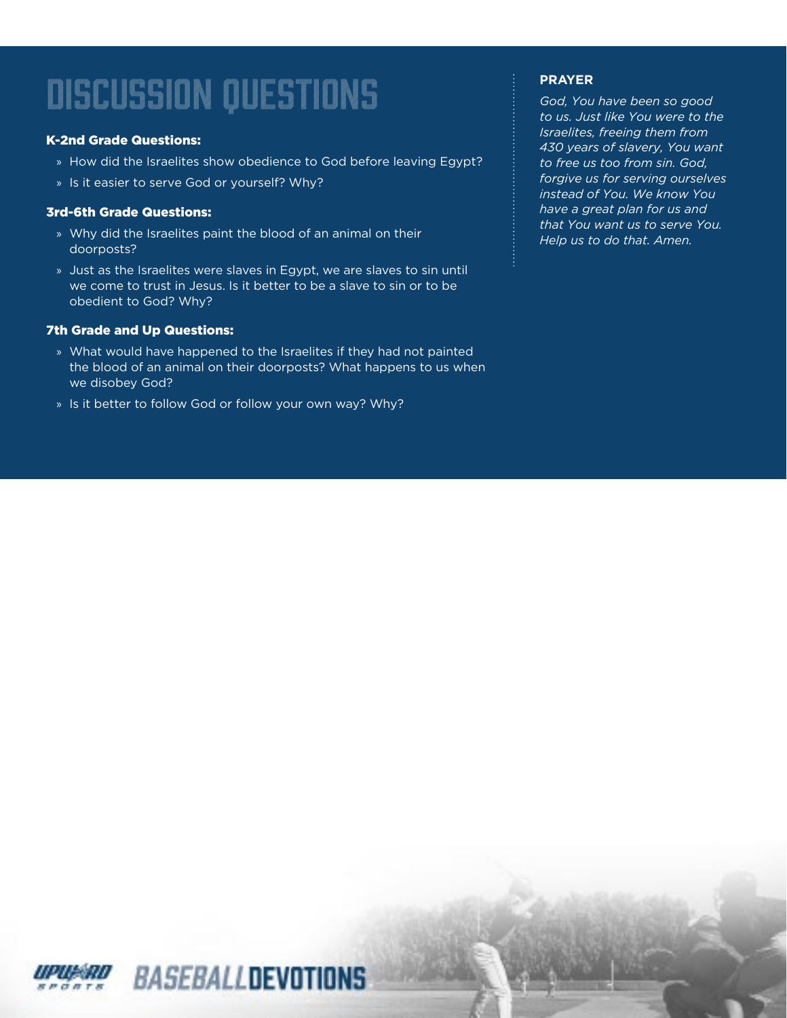### K-2nd Grade Questions:

- » How did the Israelites show obedience to God before leaving Egypt?
- » Is it easier to serve God or yourself? Why?

### 3rd-6th Grade Questions:

- » Why did the Israelites paint the blood of an animal on their doorposts?
- » Just as the Israelites were slaves in Egypt, we are slaves to sin until we come to trust in Jesus. Is it better to be a slave to sin or to be obedient to God? Why?

### 7th Grade and Up Questions:

- » What would have happened to the Israelites if they had not painted the blood of an animal on their doorposts? What happens to us when we disobey God?
- » Is it better to follow God or follow your own way? Why?

### **PRAYER**

*God, You have been so good to us. Just like You were to the Israelites, freeing them from 430 years of slavery, You want to free us too from sin. God, forgive us for serving ourselves instead of You. We know You have a great plan for us and that You want us to serve You. Help us to do that. Amen.*

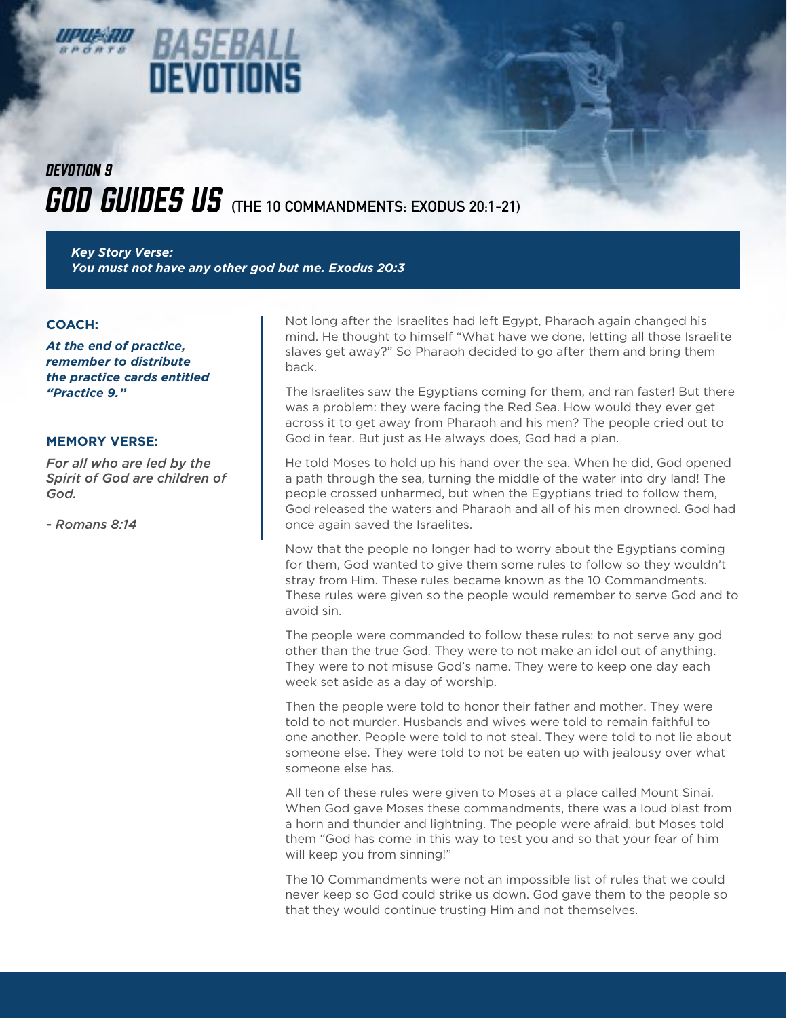# *DEVOTION 9*

*BASEBA* 

DEVOTIONS

*GOD GUIDES US* (THE 10 COMMANDMENTS: EXODUS 20:1-21)

*Key Story Verse: You must not have any other god but me. Exodus 20:3*

#### **COACH:**

*At the end of practice, remember to distribute the practice cards entitled "Practice 9."*

#### **MEMORY VERSE:**

*For all who are led by the Spirit of God are children of God.* 

*- Romans 8:14*

Not long after the Israelites had left Egypt, Pharaoh again changed his mind. He thought to himself "What have we done, letting all those Israelite slaves get away?" So Pharaoh decided to go after them and bring them back.

The Israelites saw the Egyptians coming for them, and ran faster! But there was a problem: they were facing the Red Sea. How would they ever get across it to get away from Pharaoh and his men? The people cried out to God in fear. But just as He always does, God had a plan.

He told Moses to hold up his hand over the sea. When he did, God opened a path through the sea, turning the middle of the water into dry land! The people crossed unharmed, but when the Egyptians tried to follow them, God released the waters and Pharaoh and all of his men drowned. God had once again saved the Israelites.

Now that the people no longer had to worry about the Egyptians coming for them, God wanted to give them some rules to follow so they wouldn't stray from Him. These rules became known as the 10 Commandments. These rules were given so the people would remember to serve God and to avoid sin.

The people were commanded to follow these rules: to not serve any god other than the true God. They were to not make an idol out of anything. They were to not misuse God's name. They were to keep one day each week set aside as a day of worship.

Then the people were told to honor their father and mother. They were told to not murder. Husbands and wives were told to remain faithful to one another. People were told to not steal. They were told to not lie about someone else. They were told to not be eaten up with jealousy over what someone else has.

All ten of these rules were given to Moses at a place called Mount Sinai. When God gave Moses these commandments, there was a loud blast from a horn and thunder and lightning. The people were afraid, but Moses told them "God has come in this way to test you and so that your fear of him will keep you from sinning!"

The 10 Commandments were not an impossible list of rules that we could never keep so God could strike us down. God gave them to the people so that they would continue trusting Him and not themselves.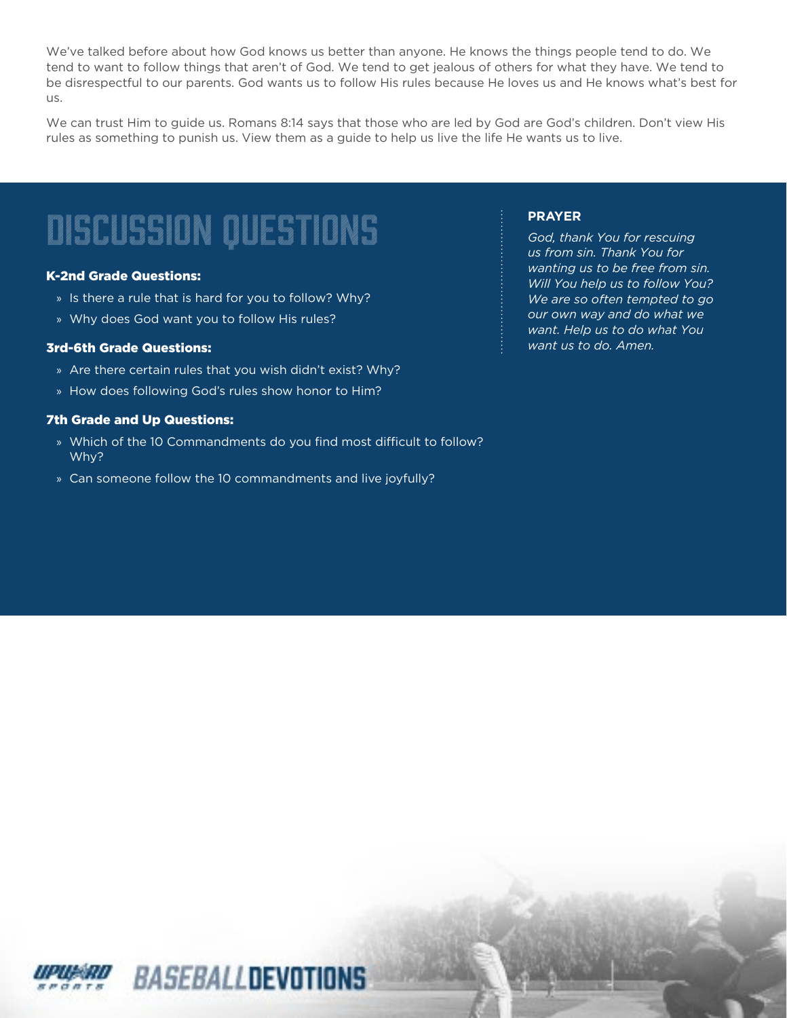We've talked before about how God knows us better than anyone. He knows the things people tend to do. We tend to want to follow things that aren't of God. We tend to get jealous of others for what they have. We tend to be disrespectful to our parents. God wants us to follow His rules because He loves us and He knows what's best for us.

We can trust Him to guide us. Romans 8:14 says that those who are led by God are God's children. Don't view His rules as something to punish us. View them as a guide to help us live the life He wants us to live.

## discussion questions

### K-2nd Grade Questions:

- » Is there a rule that is hard for you to follow? Why?
- » Why does God want you to follow His rules?

### 3rd-6th Grade Questions:

- » Are there certain rules that you wish didn't exist? Why?
- » How does following God's rules show honor to Him?

### 7th Grade and Up Questions:

- » Which of the 10 Commandments do you find most difficult to follow? Why?
- » Can someone follow the 10 commandments and live joyfully?

### **PRAYER**

*God, thank You for rescuing us from sin. Thank You for wanting us to be free from sin. Will You help us to follow You? We are so often tempted to go our own way and do what we want. Help us to do what You want us to do. Amen.*

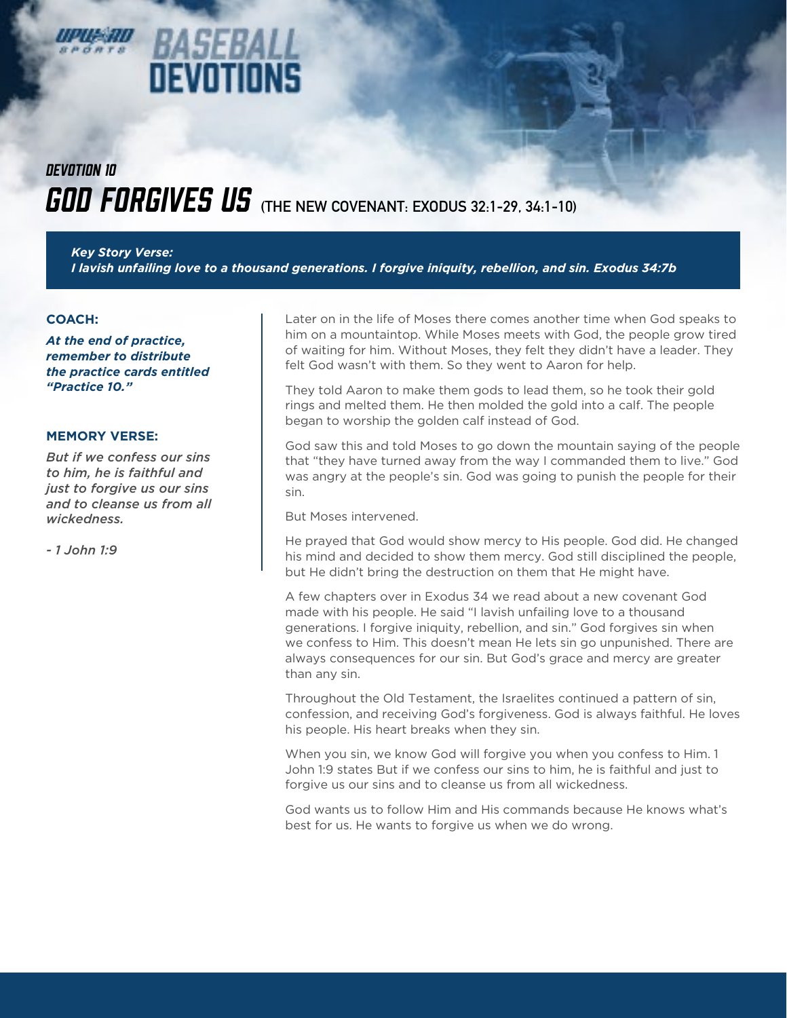### **GOD FORGIVES US** (THE NEW COVENANT: EXODUS 32:1-29, 34:1-10) *DEVOTION 10*

845EK

**DEVOTIONS** 

*Key Story Verse: I lavish unfailing love to a thousand generations. I forgive iniquity, rebellion, and sin. Exodus 34:7b*

#### **COACH:**

*At the end of practice, remember to distribute the practice cards entitled "Practice 10."*

#### **MEMORY VERSE:**

*But if we confess our sins to him, he is faithful and just to forgive us our sins and to cleanse us from all wickedness.* 

*- 1 John 1:9*

Later on in the life of Moses there comes another time when God speaks to him on a mountaintop. While Moses meets with God, the people grow tired of waiting for him. Without Moses, they felt they didn't have a leader. They felt God wasn't with them. So they went to Aaron for help.

They told Aaron to make them gods to lead them, so he took their gold rings and melted them. He then molded the gold into a calf. The people began to worship the golden calf instead of God.

God saw this and told Moses to go down the mountain saying of the people that "they have turned away from the way I commanded them to live." God was angry at the people's sin. God was going to punish the people for their sin.

But Moses intervened.

He prayed that God would show mercy to His people. God did. He changed his mind and decided to show them mercy. God still disciplined the people, but He didn't bring the destruction on them that He might have.

A few chapters over in Exodus 34 we read about a new covenant God made with his people. He said "I lavish unfailing love to a thousand generations. I forgive iniquity, rebellion, and sin." God forgives sin when we confess to Him. This doesn't mean He lets sin go unpunished. There are always consequences for our sin. But God's grace and mercy are greater than any sin.

Throughout the Old Testament, the Israelites continued a pattern of sin, confession, and receiving God's forgiveness. God is always faithful. He loves his people. His heart breaks when they sin.

When you sin, we know God will forgive you when you confess to Him. 1 John 1:9 states But if we confess our sins to him, he is faithful and just to forgive us our sins and to cleanse us from all wickedness.

God wants us to follow Him and His commands because He knows what's best for us. He wants to forgive us when we do wrong.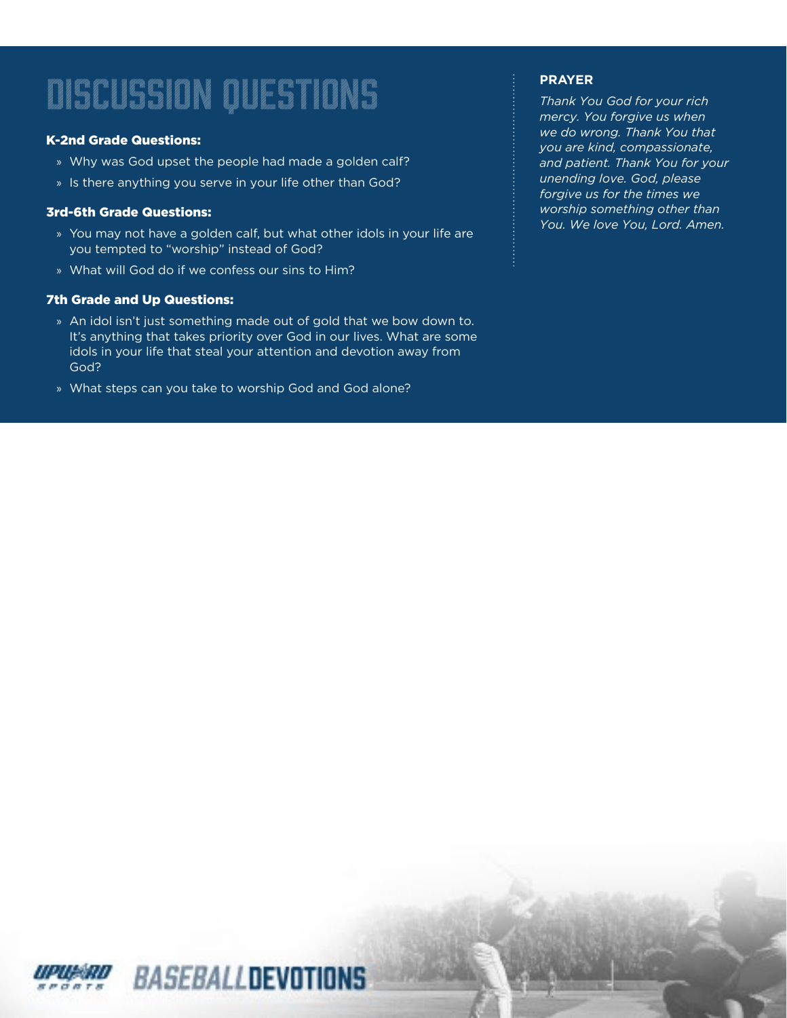### K-2nd Grade Questions:

- » Why was God upset the people had made a golden calf?
- » Is there anything you serve in your life other than God?

### 3rd-6th Grade Questions:

- » You may not have a golden calf, but what other idols in your life are you tempted to "worship" instead of God?
- » What will God do if we confess our sins to Him?

### 7th Grade and Up Questions:

- » An idol isn't just something made out of gold that we bow down to. It's anything that takes priority over God in our lives. What are some idols in your life that steal your attention and devotion away from God?
- » What steps can you take to worship God and God alone?

### **PRAYER**

*Thank You God for your rich mercy. You forgive us when we do wrong. Thank You that you are kind, compassionate, and patient. Thank You for your unending love. God, please forgive us for the times we worship something other than You. We love You, Lord. Amen.*

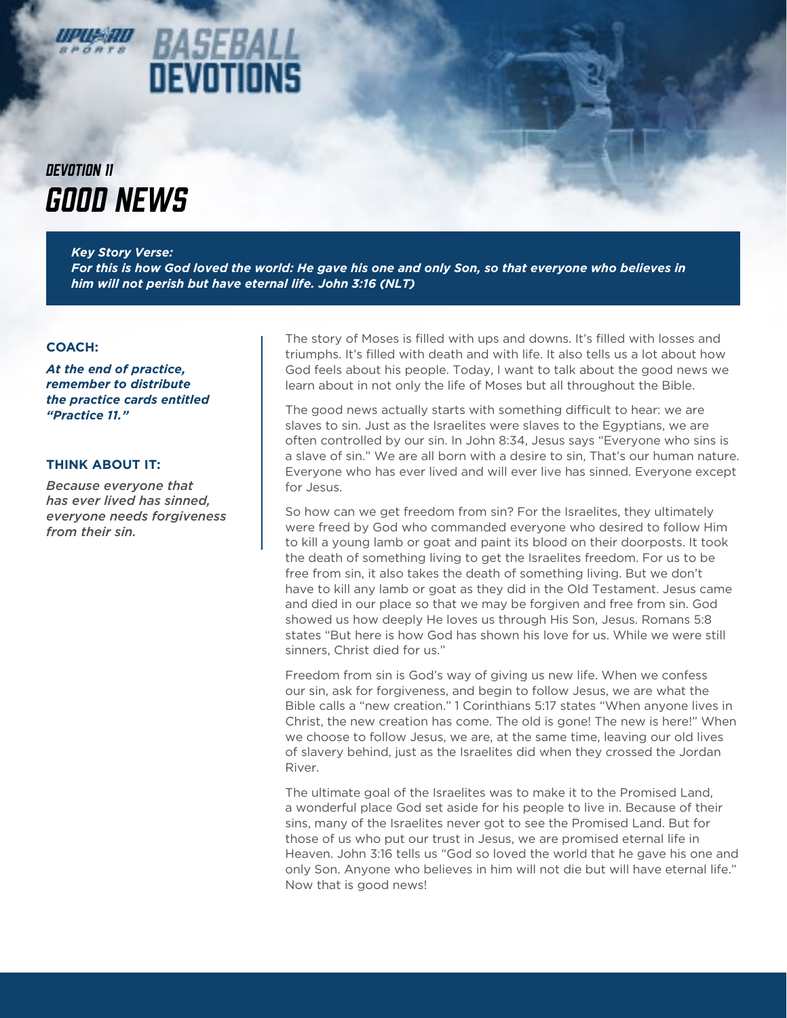### *BASEBAL* DEVOTIONS

### *GOOD NEWS DEVOTION 11*

*Key Story Verse: For this is how God loved the world: He gave his one and only Son, so that everyone who believes in him will not perish but have eternal life. John 3:16 (NLT)*

### **COACH:**

*At the end of practice, remember to distribute the practice cards entitled "Practice 11."*

### **THINK ABOUT IT:**

*Because everyone that has ever lived has sinned, everyone needs forgiveness from their sin.*

The story of Moses is filled with ups and downs. It's filled with losses and triumphs. It's filled with death and with life. It also tells us a lot about how God feels about his people. Today, I want to talk about the good news we learn about in not only the life of Moses but all throughout the Bible.

The good news actually starts with something difficult to hear: we are slaves to sin. Just as the Israelites were slaves to the Egyptians, we are often controlled by our sin. In John 8:34, Jesus says "Everyone who sins is a slave of sin." We are all born with a desire to sin, That's our human nature. Everyone who has ever lived and will ever live has sinned. Everyone except for Jesus.

So how can we get freedom from sin? For the Israelites, they ultimately were freed by God who commanded everyone who desired to follow Him to kill a young lamb or goat and paint its blood on their doorposts. It took the death of something living to get the Israelites freedom. For us to be free from sin, it also takes the death of something living. But we don't have to kill any lamb or goat as they did in the Old Testament. Jesus came and died in our place so that we may be forgiven and free from sin. God showed us how deeply He loves us through His Son, Jesus. Romans 5:8 states "But here is how God has shown his love for us. While we were still sinners, Christ died for us."

Freedom from sin is God's way of giving us new life. When we confess our sin, ask for forgiveness, and begin to follow Jesus, we are what the Bible calls a "new creation." 1 Corinthians 5:17 states "When anyone lives in Christ, the new creation has come. The old is gone! The new is here!" When we choose to follow Jesus, we are, at the same time, leaving our old lives of slavery behind, just as the Israelites did when they crossed the Jordan River.

The ultimate goal of the Israelites was to make it to the Promised Land, a wonderful place God set aside for his people to live in. Because of their sins, many of the Israelites never got to see the Promised Land. But for those of us who put our trust in Jesus, we are promised eternal life in Heaven. John 3:16 tells us "God so loved the world that he gave his one and only Son. Anyone who believes in him will not die but will have eternal life." Now that is good news!